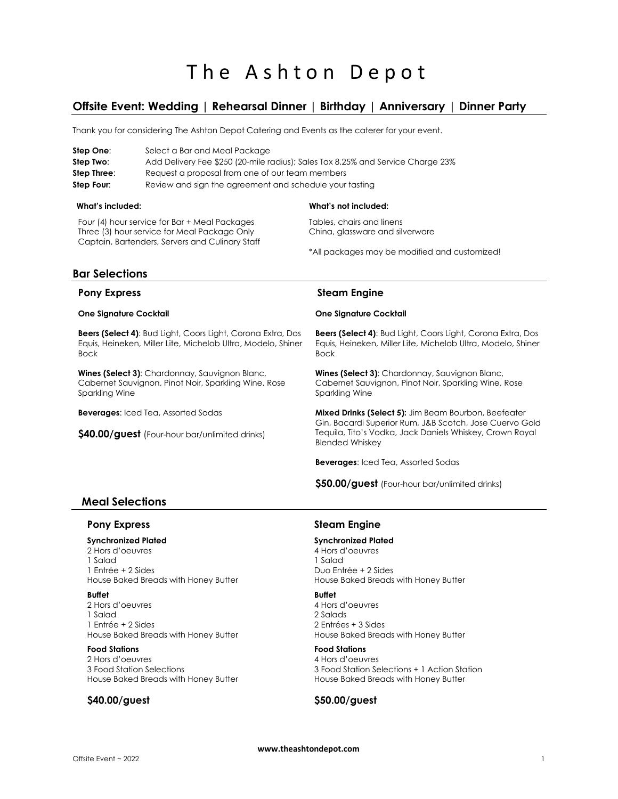# **Offsite Event: Wedding | Rehearsal Dinner | Birthday | Anniversary | Dinner Party**

Thank you for considering The Ashton Depot Catering and Events as the caterer for your event.

| Step One:   | Select a Bar and Meal Package                                                   |
|-------------|---------------------------------------------------------------------------------|
| Step Two:   | Add Delivery Fee \$250 (20-mile radius); Sales Tax 8.25% and Service Charge 23% |
| Step Three: | Request a proposal from one of our team members                                 |
| Step Four:  | Review and sign the agreement and schedule your tasting                         |

### **What's included:**

Four (4) hour service for Bar + Meal Packages Three (3) hour service for Meal Package Only Captain, Bartenders, Servers and Culinary Staff

### **What's not included:**

Tables, chairs and linens China, glassware and silverware

\*All packages may be modified and customized!

## **Bar Selections**

### **Pony Express**

### **One Signature Cocktail**

**Beers (Select 4)**: Bud Light, Coors Light, Corona Extra, Dos Equis, Heineken, Miller Lite, Michelob Ultra, Modelo, Shiner Bock

**Wines (Select 3)**: Chardonnay, Sauvignon Blanc, Cabernet Sauvignon, Pinot Noir, Sparkling Wine, Rose Sparkling Wine

**Beverages**: Iced Tea, Assorted Sodas

**\$40.00/guest** (Four-hour bar/unlimited drinks)

### **Steam Engine**

### **One Signature Cocktail**

**Beers (Select 4)**: Bud Light, Coors Light, Corona Extra, Dos Equis, Heineken, Miller Lite, Michelob Ultra, Modelo, Shiner Bock

**Wines (Select 3)**: Chardonnay, Sauvignon Blanc, Cabernet Sauvignon, Pinot Noir, Sparkling Wine, Rose Sparkling Wine

**Mixed Drinks (Select 5):** Jim Beam Bourbon, Beefeater Gin, Bacardi Superior Rum, J&B Scotch, Jose Cuervo Gold Tequila, Tito's Vodka, Jack Daniels Whiskey, Crown Royal Blended Whiskey

**Beverages**: Iced Tea, Assorted Sodas

**\$50.00/guest** (Four-hour bar/unlimited drinks)

## **Meal Selections**

### **Pony Express**

### **Synchronized Plated**

2 Hors d'oeuvres 1 Salad 1 Entrée + 2 Sides House Baked Breads with Honey Butter

### **Buffet**

2 Hors d'oeuvres 1 Salad 1 Entrée + 2 Sides House Baked Breads with Honey Butter

### **Food Stations**

2 Hors d'oeuvres 3 Food Station Selections House Baked Breads with Honey Butter

## **\$40.00/guest**

### **Steam Engine**

### **Synchronized Plated**

4 Hors d'oeuvres 1 Salad Duo Entrée + 2 Sides House Baked Breads with Honey Butter

### **Buffet**

4 Hors d'oeuvres 2 Salads 2 Entrées + 3 Sides House Baked Breads with Honey Butter

#### **Food Stations** 4 Hors d'oeuvres

3 Food Station Selections + 1 Action Station House Baked Breads with Honey Butter

## **\$50.00/guest**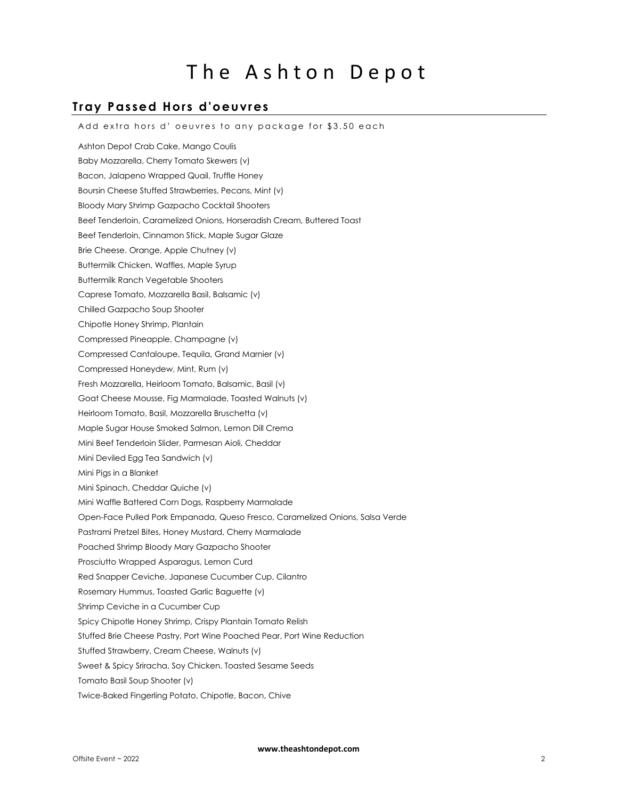# **Tray Passed Hors d'oeuvres**

Add extra hors d' oeuvres to any package for \$3.50 each Ashton Depot Crab Cake, Mango Coulis Baby Mozzarella, Cherry Tomato Skewers (v) Bacon, Jalapeno Wrapped Quail, Truffle Honey Boursin Cheese Stuffed Strawberries, Pecans, Mint (v) Bloody Mary Shrimp Gazpacho Cocktail Shooters Beef Tenderloin, Caramelized Onions, Horseradish Cream, Buttered Toast Beef Tenderloin, Cinnamon Stick, Maple Sugar Glaze Brie Cheese. Orange, Apple Chutney (v) Buttermilk Chicken, Waffles, Maple Syrup Buttermilk Ranch Vegetable Shooters Caprese Tomato, Mozzarella Basil, Balsamic (v) Chilled Gazpacho Soup Shooter Chipotle Honey Shrimp, Plantain Compressed Pineapple, Champagne (v) Compressed Cantaloupe, Tequila, Grand Marnier (v) Compressed Honeydew, Mint, Rum (v) Fresh Mozzarella, Heirloom Tomato, Balsamic, Basil (v) Goat Cheese Mousse, Fig Marmalade, Toasted Walnuts (v) Heirloom Tomato, Basil, Mozzarella Bruschetta (v) Maple Sugar House Smoked Salmon, Lemon Dill Crema Mini Beef Tenderloin Slider, Parmesan Aioli, Cheddar Mini Deviled Egg Tea Sandwich (v) Mini Pigs in a Blanket Mini Spinach, Cheddar Quiche (v) Mini Waffle Battered Corn Dogs, Raspberry Marmalade Open-Face Pulled Pork Empanada, Queso Fresco, Caramelized Onions, Salsa Verde Pastrami Pretzel Bites, Honey Mustard, Cherry Marmalade Poached Shrimp Bloody Mary Gazpacho Shooter Prosciutto Wrapped Asparagus, Lemon Curd Red Snapper Ceviche, Japanese Cucumber Cup, Cilantro Rosemary Hummus, Toasted Garlic Baguette (v) Shrimp Ceviche in a Cucumber Cup Spicy Chipotle Honey Shrimp, Crispy Plantain Tomato Relish Stuffed Brie Cheese Pastry, Port Wine Poached Pear, Port Wine Reduction Stuffed Strawberry, Cream Cheese, Walnuts (v) Sweet & Spicy Sriracha, Soy Chicken. Toasted Sesame Seeds Tomato Basil Soup Shooter (v) Twice-Baked Fingerling Potato, Chipotle, Bacon, Chive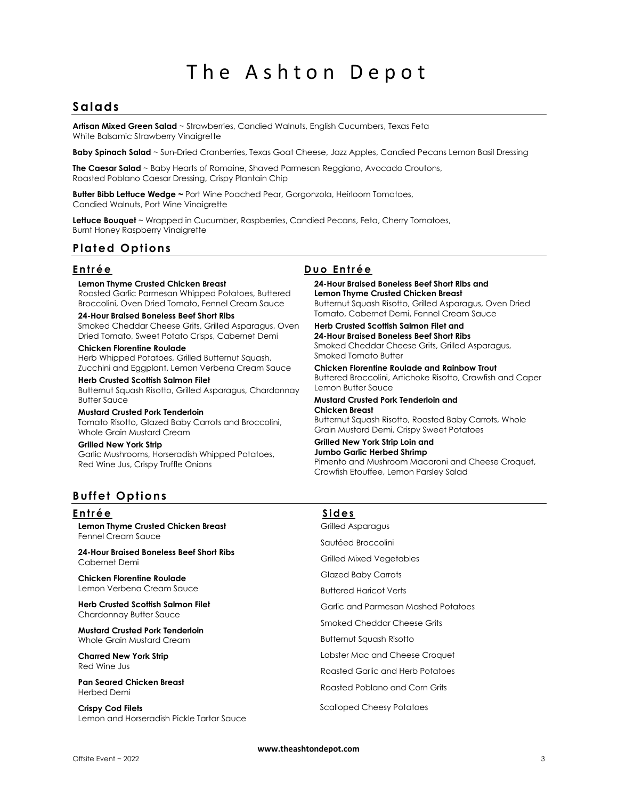# **Salads**

**Artisan Mixed Green Salad** ~ Strawberries, Candied Walnuts, English Cucumbers, Texas Feta White Balsamic Strawberry Vinaigrette

**Baby Spinach Salad** ~ Sun-Dried Cranberries, Texas Goat Cheese, Jazz Apples, Candied Pecans Lemon Basil Dressing

**The Caesar Salad** ~ Baby Hearts of Romaine, Shaved Parmesan Reggiano, Avocado Croutons, Roasted Poblano Caesar Dressing, Crispy Plantain Chip

**Butter Bibb Lettuce Wedge ~** Port Wine Poached Pear, Gorgonzola, Heirloom Tomatoes, Candied Walnuts, Port Wine Vinaigrette

**Lettuce Bouquet** ~ Wrapped in Cucumber, Raspberries, Candied Pecans, Feta, Cherry Tomatoes, Burnt Honey Raspberry Vinaigrette

# **Plated Options**

### **Lemon Thyme Crusted Chicken Breast**

Roasted Garlic Parmesan Whipped Potatoes, Buttered Broccolini, Oven Dried Tomato, Fennel Cream Sauce

**24-Hour Braised Boneless Beef Short Ribs**

Smoked Cheddar Cheese Grits, Grilled Asparagus, Oven Dried Tomato, Sweet Potato Crisps, Cabernet Demi

**Chicken Florentine Roulade** Herb Whipped Potatoes, Grilled Butternut Squash, Zucchini and Eggplant, Lemon Verbena Cream Sauce

**Herb Crusted Scottish Salmon Filet** Butternut Squash Risotto, Grilled Asparagus, Chardonnay Butter Sauce

### **Mustard Crusted Pork Tenderloin**

Tomato Risotto, Glazed Baby Carrots and Broccolini, Whole Grain Mustard Cream

**Grilled New York Strip**  Garlic Mushrooms, Horseradish Whipped Potatoes,

Red Wine Jus, Crispy Truffle Onions

**Entrée Duo Entrée** 

**24-Hour Braised Boneless Beef Short Ribs and Lemon Thyme Crusted Chicken Breast** Butternut Squash Risotto, Grilled Asparagus, Oven Dried Tomato, Cabernet Demi, Fennel Cream Sauce

**Herb Crusted Scottish Salmon Filet and 24-Hour Braised Boneless Beef Short Ribs** Smoked Cheddar Cheese Grits, Grilled Asparagus, Smoked Tomato Butter

**Chicken Florentine Roulade and Rainbow Trout** Buttered Broccolini, Artichoke Risotto, Crawfish and Caper Lemon Butter Sauce

**Mustard Crusted Pork Tenderloin and Chicken Breast**

Butternut Squash Risotto, Roasted Baby Carrots, Whole Grain Mustard Demi, Crispy Sweet Potatoes

#### **Grilled New York Strip Loin and Jumbo Garlic Herbed Shrimp**

Pimento and Mushroom Macaroni and Cheese Croquet, Crawfish Etouffee, Lemon Parsley Salad

# **Buffet Options**

### **E n t r é e S i d e s**

**Lemon Thyme Crusted Chicken Breast** Fennel Cream Sauce

**24-Hour Braised Boneless Beef Short Ribs** Cabernet Demi

**Chicken Florentine Roulade** Lemon Verbena Cream Sauce

**Herb Crusted Scottish Salmon Filet** Chardonnay Butter Sauce

**Mustard Crusted Pork Tenderloin** Whole Grain Mustard Cream

**Charred New York Strip**  Red Wine Jus

**Pan Seared Chicken Breast**  Herbed Demi

**Crispy Cod Filets** Lemon and Horseradish Pickle Tartar Sauce

Grilled Asparagus Sautéed Broccolini

Grilled Mixed Vegetables

Glazed Baby Carrots

Buttered Haricot Verts

Garlic and Parmesan Mashed Potatoes

Smoked Cheddar Cheese Grits

Butternut Squash Risotto

Lobster Mac and Cheese Croquet

Roasted Garlic and Herb Potatoes

Roasted Poblano and Corn Grits

Scalloped Cheesy Potatoes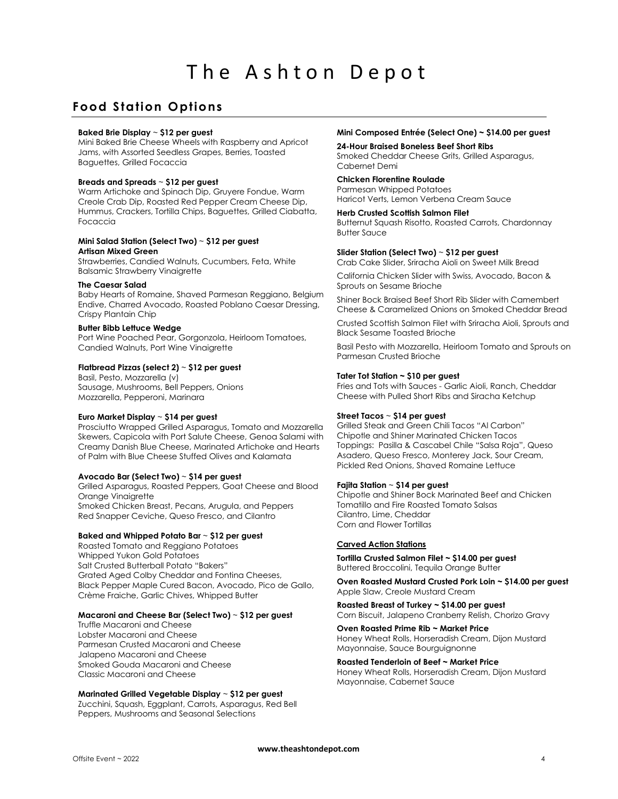# **Food Station Options**

### **Baked Brie Display** ~ **\$12 per guest**

Mini Baked Brie Cheese Wheels with Raspberry and Apricot Jams, with Assorted Seedless Grapes, Berries, Toasted Baguettes, Grilled Focaccia

### **Breads and Spreads** ~ **\$12 per guest**

Warm Artichoke and Spinach Dip, Gruyere Fondue, Warm Creole Crab Dip, Roasted Red Pepper Cream Cheese Dip, Hummus, Crackers, Tortilla Chips, Baguettes, Grilled Ciabatta, Focaccia

### **Mini Salad Station (Select Two)** ~ **\$12 per guest Artisan Mixed Green**

Strawberries, Candied Walnuts, Cucumbers, Feta, White Balsamic Strawberry Vinaigrette

### **The Caesar Salad**

Baby Hearts of Romaine, Shaved Parmesan Reggiano, Belgium Endive, Charred Avocado, Roasted Poblano Caesar Dressing, Crispy Plantain Chip

### **Butter Bibb Lettuce Wedge**

Port Wine Poached Pear, Gorgonzola, Heirloom Tomatoes, Candied Walnuts, Port Wine Vinaigrette

### **Flatbread Pizzas (select 2)** ~ **\$12 per guest**

Basil, Pesto, Mozzarella (v) Sausage, Mushrooms, Bell Peppers, Onions Mozzarella, Pepperoni, Marinara

### **Euro Market Display** ~ **\$14 per guest**

Prosciutto Wrapped Grilled Asparagus, Tomato and Mozzarella Skewers, Capicola with Port Salute Cheese, Genoa Salami with Creamy Danish Blue Cheese, Marinated Artichoke and Hearts of Palm with Blue Cheese Stuffed Olives and Kalamata

### **Avocado Bar (Select Two)** ~ **\$14 per guest**

Grilled Asparagus, Roasted Peppers, Goat Cheese and Blood Orange Vinaigrette Smoked Chicken Breast, Pecans, Arugula, and Peppers Red Snapper Ceviche, Queso Fresco, and Cilantro

### **Baked and Whipped Potato Bar** ~ **\$12 per guest**

Roasted Tomato and Reggiano Potatoes Whipped Yukon Gold Potatoes Salt Crusted Butterball Potato "Bakers" Grated Aged Colby Cheddar and Fontina Cheeses, Black Pepper Maple Cured Bacon, Avocado, Pico de Gallo, Crème Fraiche, Garlic Chives, Whipped Butter

### **Macaroni and Cheese Bar (Select Two)** ~ **\$12 per guest**

Truffle Macaroni and Cheese Lobster Macaroni and Cheese Parmesan Crusted Macaroni and Cheese Jalapeno Macaroni and Cheese Smoked Gouda Macaroni and Cheese Classic Macaroni and Cheese

### **Marinated Grilled Vegetable Display** ~ **\$12 per guest**

Zucchini, Squash, Eggplant, Carrots, Asparagus, Red Bell Peppers, Mushrooms and Seasonal Selections

### **Mini Composed Entrée (Select One) ~ \$14.00 per guest**

**24-Hour Braised Boneless Beef Short Ribs** Smoked Cheddar Cheese Grits, Grilled Asparagus, Cabernet Demi

### **Chicken Florentine Roulade**

Parmesan Whipped Potatoes Haricot Verts, Lemon Verbena Cream Sauce

### **Herb Crusted Scottish Salmon Filet**

Butternut Squash Risotto, Roasted Carrots, Chardonnay Butter Sauce

### **Slider Station (Select Two)** ~ **\$12 per guest**

Crab Cake Slider, Sriracha Aioli on Sweet Milk Bread

California Chicken Slider with Swiss, Avocado, Bacon & Sprouts on Sesame Brioche

Shiner Bock Braised Beef Short Rib Slider with Camembert Cheese & Caramelized Onions on Smoked Cheddar Bread

Crusted Scottish Salmon Filet with Sriracha Aioli, Sprouts and Black Sesame Toasted Brioche

Basil Pesto with Mozzarella, Heirloom Tomato and Sprouts on Parmesan Crusted Brioche

### **Tater Tot Station ~ \$10 per guest**

Fries and Tots with Sauces - Garlic Aioli, Ranch, Cheddar Cheese with Pulled Short Ribs and Siracha Ketchup

### **Street Tacos** ~ **\$14 per guest**

Grilled Steak and Green Chili Tacos "Al Carbon" Chipotle and Shiner Marinated Chicken Tacos Toppings: Pasilla & Cascabel Chile "Salsa Roja", Queso Asadero, Queso Fresco, Monterey Jack, Sour Cream, Pickled Red Onions, Shaved Romaine Lettuce

### **Fajita Station** ~ **\$14 per guest**

Chipotle and Shiner Bock Marinated Beef and Chicken Tomatillo and Fire Roasted Tomato Salsas Cilantro, Lime, Cheddar Corn and Flower Tortillas

### **Carved Action Stations**

**Tortilla Crusted Salmon Filet ~ \$14.00 per guest** Buttered Broccolini, Tequila Orange Butter

### **Oven Roasted Mustard Crusted Pork Loin ~ \$14.00 per guest** Apple Slaw, Creole Mustard Cream

**Roasted Breast of Turkey ~ \$14.00 per guest** Corn Biscuit, Jalapeno Cranberry Relish, Chorizo Gravy

**Oven Roasted Prime Rib ~ Market Price** Honey Wheat Rolls, Horseradish Cream, Dijon Mustard Mayonnaise, Sauce Bourguignonne

### **Roasted Tenderloin of Beef ~ Market Price**

Honey Wheat Rolls, Horseradish Cream, Dijon Mustard Mayonnaise, Cabernet Sauce